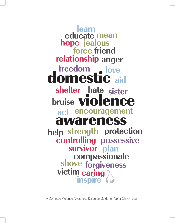**learn relationship anger force friend hope jealous educate mean encouragement act sister shelter hate** domestic **aid** freedom **...** love **inspire** awareness **bruise violence help strength protection<br>controlling possessive plan survivor strength protection shove forgivenessvictim caring compassionate**

A Domestic Violence Awareness Resource Guide for Alpha Chi Omega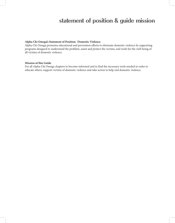# **statement of position & guide mission**

#### **Alpha Chi Omega's Statement of Position: Domestic Violence**

Alpha Chi Omega promotes educational and prevention efforts to eliminate domestic violence by supporting programs designed to understand the problem, assist and protect the victims, and work for the well-being of all victims of domestic violence.

### **Mission of this Guide**

For all Alpha Chi Omega chapters to become informed and to fnd the necessary tools needed in order to educate others, support victims of domestic violence and take action to help end domestic violence.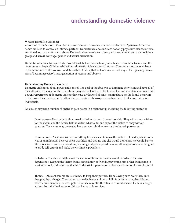# **understanding domestic violence**

#### **What is Domestic Violence?**

According to the National Coalition Against Domestic Violence, domestic violence is a "pattern of coercive behaviors used to control an intimate partner." Domestic violence includes not only physical violence, but also emotional, sexual and fnancial abuse. Domestic violence occurs in every socio-economic, racial and religious group and across every age, gender and sexual orientation.

Domestic violence afects not only those abused, but witnesses, family members, co-workers, friends and the community at large. Children who witness domestic violence are victims too. Constant exposure to violence in the home and to abusive role models teaches children that violence is a normal way of life—placing them at risk of becoming society's next generation of victims and abusers.

## **Understanding Domestic Violence**

Domestic violence is about power and control. The goal of the abuser is to dominate the victim and have all of the authority in the relationship; the abuser may use violence in order to establish and maintain command and power. Perpetrators of domestic violence have usually learned abusive, manipulative methods and behaviors in their own life experiences that allow them to control others—perpetuating the cycle of abuse onto more individuals.

An abuser may use a number of tactics to gain power in a relationship, including the following strategies:

**Dominance** – Abusive individuals need to feel in charge of the relationship. They will make decisions for the victim and the family, tell the victim what to do, and expect the victim to obey without question. The victim may be treated like a servant, child or even as the abuser's possession.

**Humiliation** – An abuser will do everything he or she can to make the victim feel inadequate in some way. If an individual believes she is worthless and that no one else would desire her, she would be less likely to leave. Insults, name-calling, shaming and public put-downs are all weapons of abuse designed to erode self-esteem and make the victim feel powerless.

**Isolation** – The abuser might close the victim off from the outside world in order to increase dependence. Keeping the victim from seeing family or friends, preventing him or her from going to work or school, and requiring that he or she ask for permission to leave are common forms of control.

**Treats** – Abusers commonly use threats to keep their partners from leaving or to scare them into dropping legal charges. The abuser may make threats to hurt or kill his or her victim, the children, other family members, or even pets. He or she may also threaten to commit suicide, fle false charges against the individual, or report him or her to child services.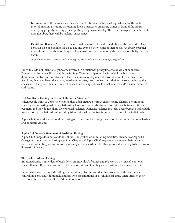**Intimidation** – The abuser may use a variety of intimidation tactics designed to scare the victim into submission, including threatening looks or gestures, smashing things in front of the victim, destroying property, hurting pets, or putting weapons on display. The clear message is that if he or she does not obey, there will be violent consequences.

**Denial and Blame** – Abusers frequently make excuses. He or she might blame abusive and violent behavior on a bad childhood, a bad day and even on the victims of their abuse. An abusive partner may minimize the abuse or deny that it occurred and will commonly shif the responsibility onto the victim.

adapted from Domestic Violence and Abuse: Signs of Abuse and Abusive Relationships, helpguide.org

Individuals do not intentionally become involved in a relationship they know to be violent or abusive. Domestic violence usually has subtle beginnings. The courtship often begins with love, but turns to dominance, control and sometimes violence. Victims may stay in an abusive situation for various reasons fear; love; threats to harm the victim, loved ones, or pets; threats of suicide; religious reasons; believing the abuser will change; self-blame; limited fnancial or housing options; low self-esteem; and/or embarrassment and shame.

## **Did You Know Hazing is a Form of Domestic Violence?**

When people think of domestic violence, they ofen picture a woman experiencing physical or emotional abuse by a dominating male in a relationship. However, not all abusive relationships are between intimate partners, and they do not all involve physical violence. Domestic violence may also occur between individuals in other forms of relationships, including friendships where control is exerted over one of the individuals.

Alpha Chi Omega does not condone hazing—recognizing the strong correlation between the nature of hazing and domestic violence.

# **Alpha Chi Omega's Statement of Position: Hazing**

Alpha Chi Omega does not condone unkind, undignifed or humiliating activities. Members of Alpha Chi Omega must not conduct hazing activities. Chapters of Alpha Chi Omega must include in their bylaws a statement prohibiting hazing and/or demeaning activities. Alpha Chi Omega considers hazing to be a form of domestic violence.

## **Te Cycle of Abuse: Hazing**

Emotional abuse is intended to break down an individual's feelings and self-worth. Victims of emotional abuse ofen feel there is no way out of the relationship and that they are less without the abusive partner.

Emotional abuse may include yelling, name-calling, blaming and shaming, isolation, intimidation, and controlling behavior. Additionally, abusers who use emotional or psychological abuse ofen threaten their victims with repercussions if they "do not do as told."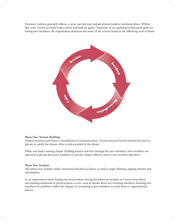Domestic violence generally follows a cycle, one that may include physical and/or emotional abuse. Within this cycle, victims are both broken down and built up again. Frequently in an organization that participates in hazing new members, the organization demonstrates many of the actions found in the following cycle of abuse:



# **Phase One: Tension Building**

Tension increases and there is a breakdown of communication. Victims become fearful and feel the need to placate or satisfy the abuser, often to feel accepted by the abuser.

Ofen, one fnds a hazing chapter building tension and fear amongst the new members. New members are expected to placate the active members or specific chapter officers, such as new member educators.

### **Phase Two: Incident**

This phase may include verbal, emotional and physical abuse, as well as anger, blaming, arguing, threats and intimidation.

In an organization where hazing may be prevalent, during this phase an incident or a series of incidents surrounding emotional or physical abuse occurs, such as threats about not initiating members, blaming new members for problems within the chapter, or screaming at new members to recite facts or organizational history.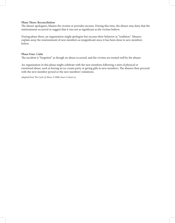# **Phase Tree: Reconciliation**

The abuser apologizes, blames the victims or provides excuses. During this time, the abuser may deny that the mistreatment occurred or suggest that it was not as signifcant as the victims believe.

During phase three, an organization might apologize but excuses their behavior as "tradition." Abusers explain away the mistreatment of new members as insignifcant since it has been done to new members before.

# **Phase Four: Calm**

The incident is "forgotten" as though no abuse occurred, and the victims are treated well by the abuser.

An organization in this phase might celebrate with the new members following a stint of physical or emotional abuse, such as having an ice cream party or giving gifts to new members. The abusers then proceed with the new member period or the new members' initaitions.

adapted from The Cycle of Abuse © 2008, heart-2-heart.ca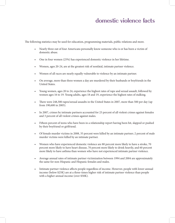# **domestic violence facts**

The following statistics may be used for education, programming materials, public relations and more.

- Nearly three out of four Americans personally know someone who is or has been a victim of domestic abuse.
- One in four women (25%) has experienced domestic violence in her lifetime.
- Women, ages 20-24, are at the greatest risk of nonfatal, intimate partner violence.
- Women of all races are nearly equally vulnerable to violence by an intimate partner.
- On average, more than three women a day are murdered by their husbands or boyfriends in the United States.
- Young women, ages 20 to 24, experience the highest rates of rape and sexual assault, followed by women ages 16 to 19. Young adults, ages 18 and 19, experience the highest rates of stalking.
- There were 248,300 rapes/sexual assaults in the United States in 2007, more than 500 per day (up from 190,600 in 2005).
- In 2007, crimes by intimate partners accounted for 23 percent of all violent crimes against females and 3 percent of all violent crimes against males.
- Fifteen percent of teens who have been in a relationship report having been hit, slapped or pushed by their boyfriend or girlfriend.
- Of female murder victims in 2008, 35 percent were killed by an intimate partner; 2 percent of male murder victims were killed by an intimate partner.
- Women who have experienced domestic violence are 80 percent more likely to have a stroke, 70 percent more likely to have heart disease, 70 percent more likely to drink heavily, and 60 percent more likely to have asthma than women who have not experienced intimate partner violence.
- Average annual rates of intimate partner victimization between 1994 and 2004 are approximately the same for non-Hispanic and Hispanic females and males.
- Intimate partner violence afects people regardless of income. However, people with lower annual income (below \$25K) are at a three-times higher risk of intimate partner violence than people with a higher annual income (over \$50K).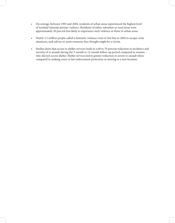- On average, between 1993 and 2004, residents of urban areas experienced the highest level of nonfatal intimate partner violence. Residents of either suburban or rural areas were approximately 20 percent less likely to experience such violence as those in urban areas.
- Nearly 2.2 million people called a domestic violence crisis or hot line in 2004 to escape crisis situations, seek advice or assist someone they thought might be a victim.
- Studies show that access to shelter services leads to a 60 to 70 percent reduction in incidence and severity of re-assault during the 3-month to 12-month follow-up period compared to women who did not access shelter. Shelter services led to greater reduction in severe re-assault when compared to seeking court or law enforcement protection or moving to a new location.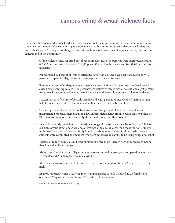# **campus crime & sexual violence facts**

These statistics are intended to help educate individuals about the importance of safety, awareness and being proactive. As members of a women's organization, it is incredibly important to consider personal safety and each other's safety. See page 21 of this guide for information about how you and your sisters may stay safe on campus and in the community.

- Of the violent crimes reported on college campuses, 1,288 (48 percent) were aggravated assaults, 882 (33 percent) were robberies, 511 (19 percent) were forcible rapes, and two (0.07 percent) were murders.
- An estimated 12 percent of women attending American colleges have been raped, and only 12 percent of rapes of collegiate women were reported to law enforcement.
- Fourteen percent of undergraduate women have been victims of at least one completed sexual assault since entering college. Five percent were victims of forced sexual assault, and eight percent were sexually assaulted while they were incapacitated due to voluntary use of alcohol or drugs.
- Sixteen percent of victims of forcible assaults and eight percent of incapacitated victims sought help from a crisis, health or victims' center after they were sexually assaulted.
- Thirteen percent of victims of forcible assaults and two percent of victims of assaults while incapacitated reported their assault to a law enforcement agency (municipal, local, city police or 911; campus police or security; county sherif, state police or other police).
- In a national study on violent victimization among college students, ages 18 to 24, from 1995 to 2002, this group experienced violence at average annual rates lower than those for non-students in the same age group. The same study found that about  $4$  in 10 violent crimes against college students were committed by ofenders who were perceived by victims to be using drugs or alcohol.
- Victims of rape or sexual assault were about four times more likely to be victimized by someone they knew than by a stranger.
- About 8 in 10 robberies of college students were committed by strangers, compared to about 6 in 10 assaults and 2 in 10 rapes or sexual assaults.
- Most crimes against students (93 percent) occurred off campus; of those, 72 percent occurred at night.
- In 2006, reported crimes occurring in on-campus residence halls included 1,923 forcible sex ofenses, 975 aggravated assaults and 22 non-forcible sex ofenses.

fnd this information and more at ncvc.org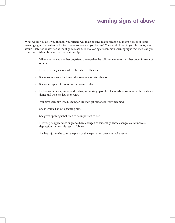# **warning signs of abuse**

What would you do if you thought your friend was in an abusive relationship? You might not see obvious warning signs like bruises or broken bones, so how can you be sure? You should listen to your instincts; you would likely not be worried without good reason. The following are common warning signs that may lead you to suspect a friend is in an abusive relationship:

- When your friend and her boyfriend are together, he calls her names or puts her down in front of others.
- He is extremely jealous when she talks to other men.
- She makes excuses for him and apologizes for his behavior.
- She cancels plans for reasons that sound untrue.
- He knows her every move and is always checking up on her. He needs to know what she has been doing and who she has been with.
- You have seen him lose his temper. He may get out of control when mad.
- She is worried about upsetting him.
- She gives up things that used to be important to her.
- Her weight, appearance or grades have changed considerably. These changes could indicate depression—a possible result of abuse.
- She has injuries she cannot explain or the explanation does not make sense.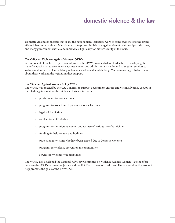# **domestic violence & the law**

Domestic violence is an issue that spans the nation; many legislators work to bring awareness to the strong efects it has on individuals. Many laws exist to protect individuals against violent relationships and crimes, and many government entities and individuals fght daily for more visibility of the issue.

### **Te Ofce on Violence Against Women (OVW)**

A component of the U.S. Department of Justice, the OVW provides federal leadership in developing the nation's capacity to reduce violence against women and administer justice for and strengthen services to victims of domestic violence, dating violence, sexual assault and stalking. Visit ovw.usdoj.gov to learn more about their work and the legislation they support.

#### **Te Violence Against Women Act (VAWA)**

The VAWA was enacted by the U.S. Congress to support government entities and victim advocacy groups in their fight against relationship violence. This law includes:

- punishments for some crimes
- programs to work toward prevention of such crimes
- legal aid for victims
- services for child victims
- programs for immigrant women and women of various races/ethnicities
- funding for help centers and hotlines
- protection for victims who have been evicted due to domestic violence
- programs for violence prevention in communities
- services for victims with disabilities

The VAWA also developed the National Advisory Committee on Violence Against Women—a joint effort between the U.S. Department of Justice and the U.S. Department of Health and Human Services that works to help promote the goals of the VAWA Act.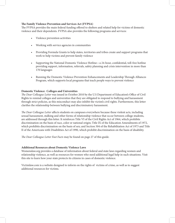# **Te Family Violence Prevention and Services Act (FVPSA)**

The FVPSA provides the main federal funding offered to shelters and related help for victims of domestic violence and their dependents. FVPSA also provides the following programs and services:

- Violence prevention activities
- Working with service agencies in communities
- Providing Formula Grants to help states, territories and tribes create and support programs that work to help victims and prevent family violence
- Supporting the National Domestic Violence Hotline—a 24-hour, confdential, toll-free hotline providing support, information, referrals, safety planning and crisis intervention in more than 170 languages
- Running the Domestic Violence Prevention Enhancements and Leadership Through Alliances Program, which supports local programs that teach people ways to prevent violence

## **Domestic Violence: Colleges and Universities**

The Dear Colleague Letter was issued in October 2010 by the U.S Department of Education's Office of Civil Rights to remind colleges and universities that they are obligated to respond to bullying and harassment through strict policies, as this misconduct may also inhibit the victim's civil rights. Furthermore, this letter clarifes the relationship between bullying and discriminatory harassment.

The Dear Colleague Letter affects students on campuses everywhere because these violent acts, including sexual harassment, stalking and other forms of relationship violence that occur between college students, are addressed through this letter. It reinforces Title VI of the Civil Rights Act of 1964, which prohibits discrimination on the basis of race, color or national origin; Title IX of the Education Amendments of 1972, which prohibits discrimination on the basis of sex; and Section 504 of the Rehabilitation Act of 1973 and Title II of the Americans with Disabilities Act of 1990, which prohibit discrimination on the basis of disability.

The Dear Colleague Letter Fast Facts may be found on page 27 of this guide.

## **Additional Resources about Domestic Violence Laws**

Womenslaw.org provides a database of information about federal and state laws regarding women and relationship violence, as well as resources for women who need additional legal help in such situations. Visit this site to learn how your state protects its citizens in cases of domestic violence.

Victimlaw.com is a website designed to inform on the rights of victims of crime, as well as to suggest additional resources for victims.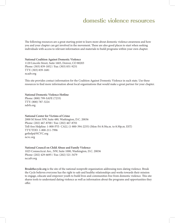# **domestic violence resources**

The following resources are a great starting point to learn more about domestic violence awareness and how you and your chapter can get involved in the movement. These are also good places to start when seeking individuals with access to relevant information and materials to build programs within your own chapter.

**National Coalition Against Domestic Violence** 1120 Lincoln Street, Suite 1603, Denver, CO 80203 Phone: (303) 839-1852 / Fax: (303) 831-9251 TTY: (303) 839-1681 ncadv.org

Tis site provides contact information for the Coalition Against Domestic Violence in each state. Use these resources to fnd more information about local organizations that would make a great partner for your chapter.

#### **National Domestic Violence Hotline**

Phone: (800) 799-SAFE (7233) TTY: (800) 787-3224 ndvh.org

#### **National Center for Victims of Crime**

2000 M Street NW, Suite 480, Washington, D.C. 20036 Phone: (202) 467-8700 / Fax: (202) 467-8701 Toll-free Helpline: 1-800-FYI- CALL (1-800-394-2255) (Mon-Fri 8:30a.m. to 8:30p.m. EST) TTY/TDD: 1-800-211-7996 gethelp@NCVC.org ncvc.org

**National Council on Child Abuse and Family Violence** 1025 Connecticut Ave., NW, Suite 1000, Washington, D.C. 20036 Phone: (202) 429-6695 / Fax: (202) 521-3479 nccafv.org

**Breakthecycle.org** is the site of the national nonproft organization addressing teen-dating violence. Break the Cycle believes everyone has the right to safe and healthy relationships and works towards their mission to engage, educate and empower youth to build lives and communities free from domestic violence. This site shares tools to understand dating violence as well as information about the programs and opportunities they offer.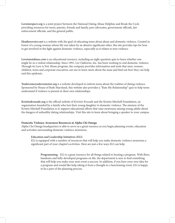**Loveisrespect.org** is a joint project between the National Dating Abuse Helpline and Break the Cycle providing resources for teens, parents, friends and family, peer advocates, government officials, law enforcement officials, and the general public.

**Heathersvoice.net** is a website with the goal of educating teens about abuse and domestic violence. Created in honor of a young woman whose life was taken by an abusive signifcant other, this site provides tips for how to get involved in the fght against domestic violence, especially as it relates to teen violence.

**Loveisnotabuse.com** is an educational resource, including an eight-question quiz to learn whether one might be in a violent relationship. Since 1991, Liz Claiborne, Inc. has been working to end domestic violence. Through its Love is Not Abuse program, the company provides information and tools that men, women, children, teens and corporate executives can use to learn more about the issue and fnd out how they can help end this epidemic.

**Youlovemeyoulovemenot.org** is a website developed to inform teens about the realities of dating violence. Sponsored by House of Ruth Maryland, this website also provides a "Rate My Relationship" quiz to help teens understand if violence is present in their own relationships.

Kristinskrusade.org is the official website of Kristin's Krusade and the Kristin Mitchell Foundation, an organization founded by a family who lost their young daughter to domestic violence. The mission of the Kristin Mitchell Foundation is to support educational efforts that raise awareness among young adults about the dangers of unhealthy dating relationships. Visit this site to learn about bringing a speaker to your campus.

#### **Domestic Violence Awareness Resources at Alpha Chi Omega**

Alpha Chi Omega headquarters is able to serve as a great resource as you begin planning events, education and activities surrounding domestic violence awareness.

#### **Education and Leadership Initiatives (ELI)**

ELI is equipped with a number of resources that will help you make domestic violence awareness a signifcant part of your chapter's activities. Here are just a few ways ELI can help:

**Programming** - ELI is a great resource for all things related to hosting a program. With fiers, handouts and fully-developed programs on fle, the department is sure to fnd something that will help you make your next event a success. In addition, if you have your own idea for a program and would like help taking it from a thought to a functioning event, ELI is happy to be a part of the planning process.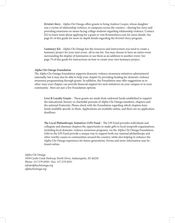**Kristin's Story** - Alpha Chi Omega ofers grants to bring Andrea Cooper, whose daughter was a victim of relationship violence, to campuses across the country—sharing her story and providing awareness on issues facing college students regarding relationship violence. Contact ELI to learn more about applying for a grant or visit KristinsStory.com for more details. See page 81 of this guide for more in-depth details regarding the Kristin's Story program.

**Luminary Kit** - Alpha Chi Omega has the resources and instructions you need to create a luminary project for your next event...all in one kit. You may choose to have an entire event surrounding the display of luminaries or use them as an addition to another event. See page 79 of this guide for instructions on how to create your own luminary project.

#### **Alpha Chi Omega Foundation**

The Alpha Chi Omega Foundation supports domestic violence awareness initiatives administered nationally, but it may also be able to help your chapter by providing funding for domestic violence awareness programming through grants. In addition, the Foundation may ofer suggestions as to other ways your chapter can provide fnancial support for such initiatives on your campus or in your community. Here are just a few Foundation options:

Love & Loyalty Grants – These grants are made from endowed funds established to support the educational, literary or charitable pursuits of Alpha Chi Omega members, chapters and the national Fraternity. Please check with the Foundation regarding which chapters have funds available specifc to them. Applications are available online, and there are no application deadlines.

The Local Philanthropic Initiatives (LPI) Fund – The LPI Fund provides individuals and collegiate and alumnae chapters the opportunity to make gifs to local nonproft organizations, including local domestic violence awareness programs, via the Alpha Chi Omega Foundation. Gifs to the LPI Fund provide a unique way to support both our national philanthropy and other worthy causes in communities around the country, while also helping to enhance the Alpha Chi Omega experience for future generations. Forms and more information may be found online.

Alpha Chi Omega 5939 Castle Creek Parkway North Drive, Indianapolis, IN 46250 Phone: 317.579.5050 / Fax: 317.579.5051 info@alphachiomega.org alphachiomega.org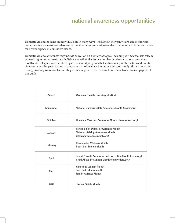# **national awareness opportunities**

Domestic violence touches an individual's life in many ways. Throughout the year, we are able to join with domestic violence awareness advocates across the country on designated days and months to bring awareness for diverse aspects of domestic violence.

Domestic violence awareness may include education on a variety of topics, including self-defense, self-esteem, women's rights and women's health. Below you will fnd a list of a number of relevant national awareness months. As a chapter, you may develop activities and programs that address many of the factors of domestic violence—consider participating in programs that relate to each month's topics, or simply address the issues through reading awareness facts at chapter meetings or events. Be sure to review activity ideas on page 35 of this guide.

| August       | Woman's Equality Day (August 26th)                                                                                       |
|--------------|--------------------------------------------------------------------------------------------------------------------------|
| September    | National Campus Safety Awareness Month (ncsam.org)                                                                       |
| October      | Domestic Violence Awareness Month (dvam.vawnet.org)                                                                      |
| January      | <b>Personal Self-Defense Awareness Month</b><br><b>National Stalking Awareness Month</b><br>(stalkingawarenessmonth.org) |
| February     | <b>Relationship Wellness Month</b><br><b>Boost Self-Esteem Month</b>                                                     |
| <b>April</b> | Sexual Assault Awareness and Prevention Month (nsvrc.org)<br>Child Abuse Prevention Month (childwelfare.gov)             |
| May          | <b>Victorious Woman Month</b><br><b>Teen Self-Esteem Month</b><br><b>Family Wellness Month</b>                           |
| June         | <b>Student Safety Month</b>                                                                                              |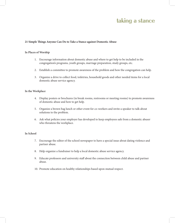# **taking a stance**

#### **21 Simple Tings Anyone Can Do to Take a Stance against Domestic Abuse**

#### **In Places of Worship**

- 1. Encourage information about domestic abuse and where to get help to be included in the congregation's programs, youth groups, marriage preparation, study groups, etc.
- 2. Establish a committee to promote awareness of the problem and how the congregation can help.
- 3. Organize a drive to collect food, toiletries, household goods and other needed items for a local domestic abuse service agency.

## **In the Workplace**

- 4. Display posters or brochures (in break rooms, restrooms or meeting rooms) to promote awareness of domestic abuse and how to get help.
- 5. Organize a brown bag lunch or other event for co-workers and invite a speaker to talk about solutions to the problem.
- 6. Ask what policies your employer has developed to keep employees safe from a domestic abuser who threatens the workplace.

#### **In School**

- 7. Encourage the editor of the school newspaper to have a special issue about dating violence and partner abuse.
- 8. Help organize a fundraiser to help a local domestic abuse service agency.
- 9. Educate professors and university staf about the connection between child abuse and partner abuse.
- 10. Promote education on healthy relationships based upon mutual respect.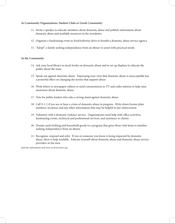# **In Community Organizations, Student Clubs or Greek Community**

- 11. Invite a speaker to educate members about domestic abuse and publish information about domestic abuse and available resources in the newsletter.
- 12. Organize a fundraising event or food/toiletries drive to beneft a domestic abuse service agency.
- 13. "Adopt" a family seeking independence from an abuser to assist with practical needs.

# **In the Community**

- 14. Ask your local library to stock books on domestic abuse and to set up displays to educate the public about the issue.
- 15. Speak out against domestic abuse. Expressing your view that domestic abuse is unacceptable has a powerful efect on changing the norms that support abuse.
- 16. Write letters to newspaper editors or send commentaries to TV and radio stations to help raise awareness about domestic abuse.
- 17. Vote for public leaders who take a strong stand against domestic abuse.
- 18. Call 9-1-1 if you see or hear a crime of domestic abuse in progress. Write down license plate numbers, locations and any other information that may be helpful to law enforcement.
- 19. Volunteer with a domestic violence service. Organizations need help with office activities, fundraising events, technical and professional services, and assistance to clients.
- 20. Donate used clothing and household goods to a program that gives these vital items to families seeking independence from an abuser.
- 21. Recognize, respond and refer. If you or someone you know is being impacted by domestic abuse, there is help available. Educate yourself about domestic abuse and domestic abuse service providers in the area.

fnd this information and more at dvnconnect.org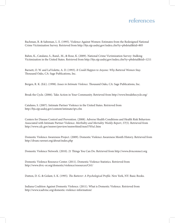# **references**

Bachman, R. & Saltzman, L. E. (1995). Violence Against Women: Estimates from the Redesigned National Crime Victimization Survey. Retrieved from http://bjs.ojp.usdoj.gov/index.cfm?ty=pbdetail&iid=805

Bahm, K., Catalano, S., Rand., M., & Rose, K. (2009). National Crime Victimization Survey: Stalking Victimization in the United States. Retrieved from http://bjs.ojp.usdoj.gov/index.cfm?ty=pbdetail&iid=1211

Barnett, O. W. and LaViolette, A. D. (1993). It Could Happen to Anyone: Why Battered Women Stay. Thousand Oaks, CA: Sage Publications, Inc.

Bergen, R. K. (Ed.). (1998). *Issues in Intimate Violence*. Thousand Oaks, CA: Sage Publications, Inc.

Break the Cycle. (2006). Take Action in Your Community. Retrieved from http://www.breakthecycle.org/

Catalano, S. (2007). Intimate Partner Violence in the United States. Retrieved from http://bjs.ojp.usdoj.gov/content/intimate/ipv.cfm

Centers for Disease Control and Prevention. (2008). Adverse Health Conditions and Health Risk Behaviors Associated with Intimate Partner Violence. Morbidity and Mortality Weekly Report, 57(5). Retrieved from http://www.cdc.gov/mmwr/preview/mmwrhtml/mm5705a1.htm

Domestic Violence Awareness Project. (2009). Domestic Violence Awareness Month History. Retrieved from http://dvam.vawnet.org/about/index.php

Domestic Violence Network. (2010). 21 Tings You Can Do. Retrieved from http://www.dvnconnect.org

Domestic Violence Resource Center. (2011). Domestic Violence Statistics. Retrieved from http://www.dvrc-or.org/domestic/violence/resources/C61/

Dutton, D. G. & Golant, S. K. (1995). The Batterer: A Psychological Profile. New York, NY: Basic Books.

Indiana Coalition Against Domestic Violence. (2011). What is Domestic Violence. Retrieved from http://www.icadvinc.org/domestic-violence-information/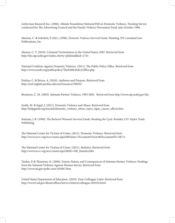Lieberman Research Inc. (2006). Allstate Foundation National Poll on Domestic Violence. Tracking Survey conducted for The Advertising Council and the Family Violence Prevention Fund, July-October 1996.

Mariani, C. & Sokolich, P. (Ed.). (1996). Domestic Violence Survival Guide. Flushing, NY: Looseleaf Law Publications, Inc.

Maston, C. T. (2010). Criminal Victimization in the United States, 2007. Retrieved from http://bjs.ojp.usdoj.gov/index.cfm?ty=pbdetail&iid=1743

National Coalition Against Domestic Violence. (2011). The Public Policy Office. Retrieved from http://www.ncadv.org/publicpolicy/ThePublicPolicyOffice.php

Perkins, C. & Brizee, A. (2010). Audience and Purpose. Retrieved from http://owl.english.purdue.edu/owl/resource/590/01/

Rennison, C. M. (2003). Intimate Partner Violence, 1993-2001. Retrieved from http://www.ojp.usdoj.gov/bjs

Smith, M. & Segal, J. (2011). Domestic Violence and Abuse. Retrieved from http://helpguide.org/mental/domestic\_violence\_abuse\_types\_signs\_causes\_efects.htm

Statman, J. B. (1990). The Battered Woman's Survival Guide: Breaking the Cycle. Boulder, CO: Taylor Trade Publishing.

The National Center for Victims of Crime. (2011). Domestic Violence. Retrieved from http://www.ncvc.org/ncvc/main.aspx?dbName=DocumentViewer&DocumentID=38711

The National Center for Victims of Crime. (2011). Statistics. Retrieved from http://www.ncvc.org/ncvc/main.aspx?dbID=DB\_Statistics584

Tjaden, P. & Toennes, N. (2000). Extent, Nature, and Consequences of Intimate Partner Violence: Findings from the National Violence Against Women Survey. Retrieved from http://www.nij.gov/pubs-sum/181867.htm

United States Department of Education. (2010). Dear Colleague Letter. Retrieved from http://www2.ed.gov/about/offices/list/ocr/letters/colleague-201010.html